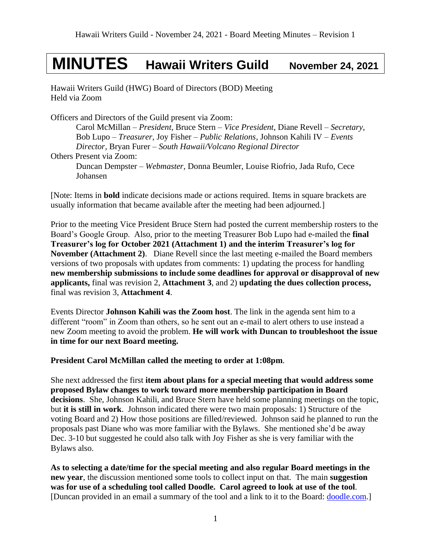# **MINUTES Hawaii Writers Guild November 24, 2021**

Hawaii Writers Guild (HWG) Board of Directors (BOD) Meeting Held via Zoom

Officers and Directors of the Guild present via Zoom:

Carol McMillan – *President*, Bruce Stern – *Vice President*, Diane Revell – *Secretary*, Bob Lupo – *Treasurer,* Joy Fisher – *Public Relations,* Johnson Kahili IV – *Events Director,* Bryan Furer – *South Hawaii/Volcano Regional Director* Others Present via Zoom: Duncan Dempster – *Webmaster,* Donna Beumler, Louise Riofrio, Jada Rufo, Cece Johansen

[Note: Items in **bold** indicate decisions made or actions required. Items in square brackets are usually information that became available after the meeting had been adjourned.]

Prior to the meeting Vice President Bruce Stern had posted the current membership rosters to the Board's Google Group. Also, prior to the meeting Treasurer Bob Lupo had e-mailed the **final Treasurer's log for October 2021 (Attachment 1) and the interim Treasurer's log for November (Attachment 2)**. Diane Revell since the last meeting e-mailed the Board members versions of two proposals with updates from comments: 1) updating the process for handling **new membership submissions to include some deadlines for approval or disapproval of new applicants,** final was revision 2, **Attachment 3**, and 2) **updating the dues collection process,**  final was revision 3, **Attachment 4**.

Events Director **Johnson Kahili was the Zoom host**. The link in the agenda sent him to a different "room" in Zoom than others, so he sent out an e-mail to alert others to use instead a new Zoom meeting to avoid the problem. **He will work with Duncan to troubleshoot the issue in time for our next Board meeting.**

**President Carol McMillan called the meeting to order at 1:08pm**.

She next addressed the first **item about plans for a special meeting that would address some proposed Bylaw changes to work toward more membership participation in Board decisions**. She, Johnson Kahili, and Bruce Stern have held some planning meetings on the topic, but **it is still in work**. Johnson indicated there were two main proposals: 1) Structure of the voting Board and 2) How those positions are filled/reviewed. Johnson said he planned to run the proposals past Diane who was more familiar with the Bylaws. She mentioned she'd be away Dec. 3-10 but suggested he could also talk with Joy Fisher as she is very familiar with the Bylaws also.

**As to selecting a date/time for the special meeting and also regular Board meetings in the new year**, the discussion mentioned some tools to collect input on that. The main **suggestion was for use of a scheduling tool called Doodle. Carol agreed to look at use of the tool**. [Duncan provided in an email a summary of the tool and a link to it to the Board: [doodle.com.](http://doodle.com/)]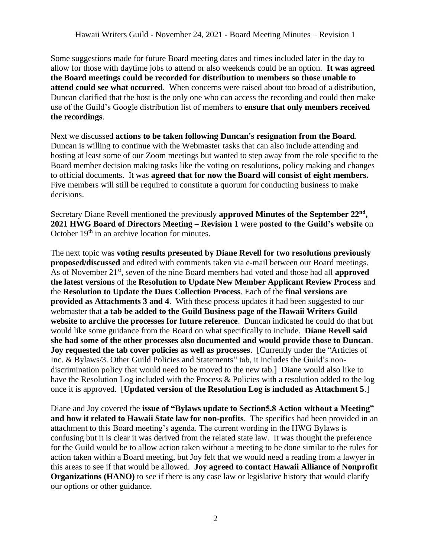Some suggestions made for future Board meeting dates and times included later in the day to allow for those with daytime jobs to attend or also weekends could be an option. **It was agreed the Board meetings could be recorded for distribution to members so those unable to attend could see what occurred**. When concerns were raised about too broad of a distribution, Duncan clarified that the host is the only one who can access the recording and could then make use of the Guild's Google distribution list of members to **ensure that only members received the recordings**.

Next we discussed **actions to be taken following Duncan's resignation from the Board**. Duncan is willing to continue with the Webmaster tasks that can also include attending and hosting at least some of our Zoom meetings but wanted to step away from the role specific to the Board member decision making tasks like the voting on resolutions, policy making and changes to official documents. It was **agreed that for now the Board will consist of eight members.** Five members will still be required to constitute a quorum for conducting business to make decisions.

Secretary Diane Revell mentioned the previously **approved Minutes of the September 22 nd , 2021 HWG Board of Directors Meeting – Revision 1** were **posted to the Guild's website** on October 19<sup>th</sup> in an archive location for minutes.

The next topic was **voting results presented by Diane Revell for two resolutions previously proposed/discussed** and edited with comments taken via e-mail between our Board meetings. As of November 21<sup>st</sup>, seven of the nine Board members had voted and those had all **approved the latest versions** of the **Resolution to Update New Member Applicant Review Process** and the **Resolution to Update the Dues Collection Process**. Each of the **final versions are provided as Attachments 3 and 4**. With these process updates it had been suggested to our webmaster that **a tab be added to the Guild Business page of the Hawaii Writers Guild website to archive the processes for future reference**. Duncan indicated he could do that but would like some guidance from the Board on what specifically to include. **Diane Revell said she had some of the other processes also documented and would provide those to Duncan**. **Joy requested the tab cover policies as well as processes**. [Currently under the "Articles of Inc. & Bylaws/3. Other Guild Policies and Statements" tab, it includes the Guild's nondiscrimination policy that would need to be moved to the new tab.] Diane would also like to have the Resolution Log included with the Process & Policies with a resolution added to the log once it is approved. [**Updated version of the Resolution Log is included as Attachment 5**.]

Diane and Joy covered the **issue of "Bylaws update to Section5.8 Action without a Meeting" and how it related to Hawaii State law for non-profits**. The specifics had been provided in an attachment to this Board meeting's agenda. The current wording in the HWG Bylaws is confusing but it is clear it was derived from the related state law. It was thought the preference for the Guild would be to allow action taken without a meeting to be done similar to the rules for action taken within a Board meeting, but Joy felt that we would need a reading from a lawyer in this areas to see if that would be allowed. **Joy agreed to contact Hawaii Alliance of Nonprofit Organizations (HANO)** to see if there is any case law or legislative history that would clarify our options or other guidance.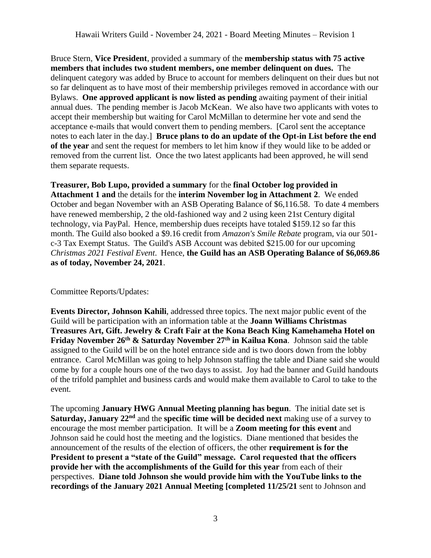Bruce Stern, **Vice President**, provided a summary of the **membership status with 75 active members that includes two student members, one member delinquent on dues.** The delinquent category was added by Bruce to account for members delinquent on their dues but not so far delinquent as to have most of their membership privileges removed in accordance with our Bylaws. **One approved applicant is now listed as pending** awaiting payment of their initial annual dues. The pending member is Jacob McKean. We also have two applicants with votes to accept their membership but waiting for Carol McMillan to determine her vote and send the acceptance e-mails that would convert them to pending members. [Carol sent the acceptance notes to each later in the day.] **Bruce plans to do an update of the Opt-in List before the end of the year** and sent the request for members to let him know if they would like to be added or removed from the current list. Once the two latest applicants had been approved, he will send them separate requests.

**Treasurer, Bob Lupo, provided a summary** for the **final October log provided in Attachment 1 and** the details for the **interim November log in Attachment 2**. We ended October and began November with an ASB Operating Balance of \$6,116.58. To date 4 members have renewed membership, 2 the old-fashioned way and 2 using keen 21st Century digital technology, via PayPal. Hence, membership dues receipts have totaled \$159.12 so far this month. The Guild also booked a \$9.16 credit from *Amazon's Smile Rebate* program, via our 501 c-3 Tax Exempt Status. The Guild's ASB Account was debited \$215.00 for our upcoming *Christmas 2021 Festival Event*. Hence, **the Guild has an ASB Operating Balance of \$6,069.86 as of today, November 24, 2021**.

Committee Reports/Updates:

**Events Director, Johnson Kahili**, addressed three topics. The next major public event of the Guild will be participation with an information table at the **Joann Williams Christmas Treasures Art, Gift. Jewelry & Craft Fair at the Kona Beach King Kamehameha Hotel on Friday November 26th & Saturday November 27th in Kailua Kona**. Johnson said the table assigned to the Guild will be on the hotel entrance side and is two doors down from the lobby entrance. Carol McMillan was going to help Johnson staffing the table and Diane said she would come by for a couple hours one of the two days to assist. Joy had the banner and Guild handouts of the trifold pamphlet and business cards and would make them available to Carol to take to the event.

The upcoming **January HWG Annual Meeting planning has begun**. The initial date set is Saturday, January 22<sup>nd</sup> and the specific time will be decided next making use of a survey to encourage the most member participation. It will be a **Zoom meeting for this event** and Johnson said he could host the meeting and the logistics. Diane mentioned that besides the announcement of the results of the election of officers, the other **requirement is for the President to present a "state of the Guild" message. Carol requested that the officers provide her with the accomplishments of the Guild for this year** from each of their perspectives. **Diane told Johnson she would provide him with the YouTube links to the recordings of the January 2021 Annual Meeting [completed 11/25/21** sent to Johnson and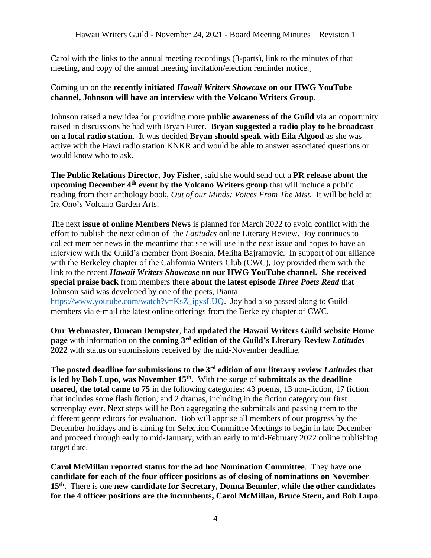Carol with the links to the annual meeting recordings (3-parts), link to the minutes of that meeting, and copy of the annual meeting invitation/election reminder notice.]

## Coming up on the **recently initiated** *Hawaii Writers Showcase* **on our HWG YouTube channel, Johnson will have an interview with the Volcano Writers Group**.

Johnson raised a new idea for providing more **public awareness of the Guild** via an opportunity raised in discussions he had with Bryan Furer. **Bryan suggested a radio play to be broadcast on a local radio station**. It was decided **Bryan should speak with Eila Algood** as she was active with the Hawi radio station KNKR and would be able to answer associated questions or would know who to ask.

**The Public Relations Director, Joy Fisher**, said she would send out a **PR release about the upcoming December 4th event by the Volcano Writers group** that will include a public reading from their anthology book, *Out of our Minds: Voices From The Mist*. It will be held at Ira Ono's Volcano Garden Arts.

The next **issue of online Members News** is planned for March 2022 to avoid conflict with the effort to publish the next edition of the *Latitudes* online Literary Review. Joy continues to collect member news in the meantime that she will use in the next issue and hopes to have an interview with the Guild's member from Bosnia, Meliha Bajramovic. In support of our alliance with the Berkeley chapter of the California Writers Club (CWC), Joy provided them with the link to the recent *Hawaii Writers Showcase* **on our HWG YouTube channel. She received special praise back** from members there **about the latest episode** *Three Poets Read* that Johnson said was developed by one of the poets, Pianta:

[https://www.youtube.com/watch?v=KsZ\\_ipysLUQ.](https://www.youtube.com/watch?v=KsZ_ipysLUQ) Joy had also passed along to Guild members via e-mail the latest online offerings from the Berkeley chapter of CWC.

**Our Webmaster, Duncan Dempster**, had **updated the Hawaii Writers Guild website Home page** with information on **the coming 3 rd edition of the Guild's Literary Review** *Latitudes* **2022** with status on submissions received by the mid-November deadline.

**The posted deadline for submissions to the 3rd edition of our literary review** *Latitudes* **that is led by Bob Lupo, was November 15th** . With the surge of **submittals as the deadline neared, the total came to 75** in the following categories: 43 poems, 13 non-fiction, 17 fiction that includes some flash fiction, and 2 dramas, including in the fiction category our first screenplay ever. Next steps will be Bob aggregating the submittals and passing them to the different genre editors for evaluation. Bob will apprise all members of our progress by the December holidays and is aiming for Selection Committee Meetings to begin in late December and proceed through early to mid-January, with an early to mid-February 2022 online publishing target date.

**Carol McMillan reported status for the ad hoc Nomination Committee**. They have **one candidate for each of the four officer positions as of closing of nominations on November 15th .** There is one **new candidate for Secretary, Donna Beumler, while the other candidates for the 4 officer positions are the incumbents, Carol McMillan, Bruce Stern, and Bob Lupo**.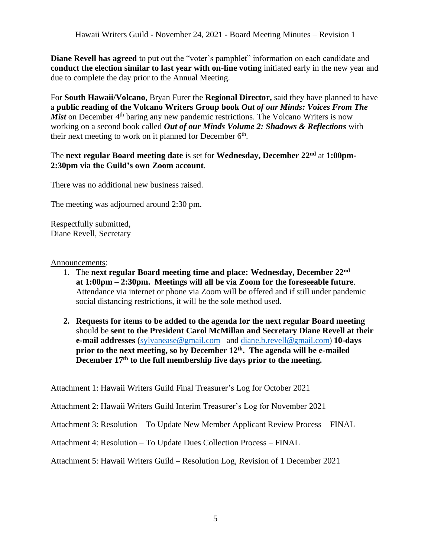**Diane Revell has agreed** to put out the "voter's pamphlet" information on each candidate and **conduct the election similar to last year with on-line voting** initiated early in the new year and due to complete the day prior to the Annual Meeting.

For **South Hawaii/Volcano**, Bryan Furer the **Regional Director,** said they have planned to have a **public reading of the Volcano Writers Group book** *Out of our Minds: Voices From The Mist* on December 4<sup>th</sup> baring any new pandemic restrictions. The Volcano Writers is now working on a second book called *Out of our Minds Volume 2: Shadows & Reflections* with their next meeting to work on it planned for December  $6<sup>th</sup>$ .

## The **next regular Board meeting date** is set for **Wednesday, December 22nd** at **1:00pm-2:30pm via the Guild's own Zoom account**.

There was no additional new business raised.

The meeting was adjourned around 2:30 pm.

Respectfully submitted, Diane Revell, Secretary

Announcements:

- 1. The **next regular Board meeting time and place: Wednesday, December 22 nd at 1:00pm – 2:30pm. Meetings will all be via Zoom for the foreseeable future**. Attendance via internet or phone via Zoom will be offered and if still under pandemic social distancing restrictions, it will be the sole method used.
- **2. Requests for items to be added to the agenda for the next regular Board meeting** should be **sent to the President Carol McMillan and Secretary Diane Revell at their e-mail addresses** [\(sylvanease@gmail.com](mailto:sylvanease@gmail.com) and [diane.b.revell@](mailto:diane.b.revell@gmail.com)gmail.com) **10-days prior to the next meeting, so by December 12 th . The agenda will be e-mailed December 17 th to the full membership five days prior to the meeting.**

Attachment 1: Hawaii Writers Guild Final Treasurer's Log for October 2021

Attachment 2: Hawaii Writers Guild Interim Treasurer's Log for November 2021

Attachment 3: Resolution – To Update New Member Applicant Review Process – FINAL

Attachment 4: Resolution – To Update Dues Collection Process – FINAL

Attachment 5: Hawaii Writers Guild – Resolution Log, Revision of 1 December 2021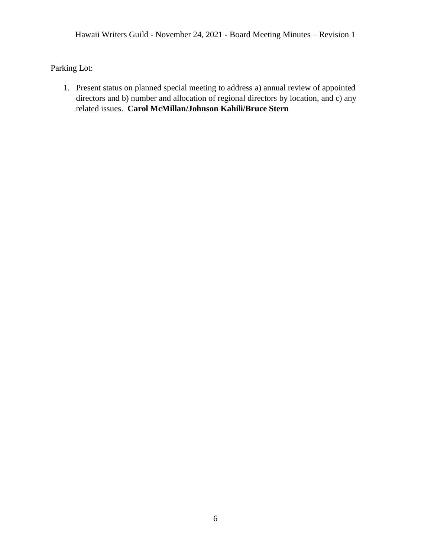Parking Lot:

1. Present status on planned special meeting to address a) annual review of appointed directors and b) number and allocation of regional directors by location, and c) any related issues. **Carol McMillan/Johnson Kahili/Bruce Stern**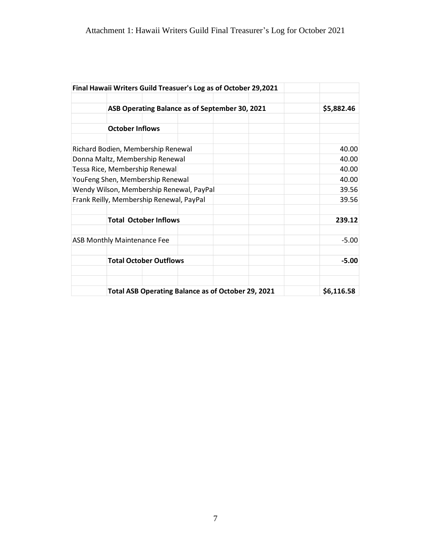|            |                                  |  |  | Final Hawaii Writers Guild Treasuer's Log as of October 29,2021 |                                    |  |
|------------|----------------------------------|--|--|-----------------------------------------------------------------|------------------------------------|--|
|            |                                  |  |  |                                                                 |                                    |  |
| \$5,882.46 |                                  |  |  | ASB Operating Balance as of September 30, 2021                  |                                    |  |
|            |                                  |  |  |                                                                 | <b>October Inflows</b>             |  |
| 40.00      |                                  |  |  | Richard Bodien, Membership Renewal                              |                                    |  |
| 40.00      |                                  |  |  | Donna Maltz, Membership Renewal                                 |                                    |  |
| 40.00      | Tessa Rice, Membership Renewal   |  |  |                                                                 |                                    |  |
| 40.00      | YouFeng Shen, Membership Renewal |  |  |                                                                 |                                    |  |
| 39.56      |                                  |  |  | Wendy Wilson, Membership Renewal, PayPal                        |                                    |  |
| 39.56      |                                  |  |  | Frank Reilly, Membership Renewal, PayPal                        |                                    |  |
| 239.12     |                                  |  |  | <b>Total October Inflows</b>                                    |                                    |  |
| $-5.00$    |                                  |  |  |                                                                 | <b>ASB Monthly Maintenance Fee</b> |  |
| $-5.00$    |                                  |  |  | <b>Total October Outflows</b>                                   |                                    |  |
| \$6,116.58 |                                  |  |  |                                                                 |                                    |  |
|            |                                  |  |  | <b>Total ASB Operating Balance as of October 29, 2021</b>       |                                    |  |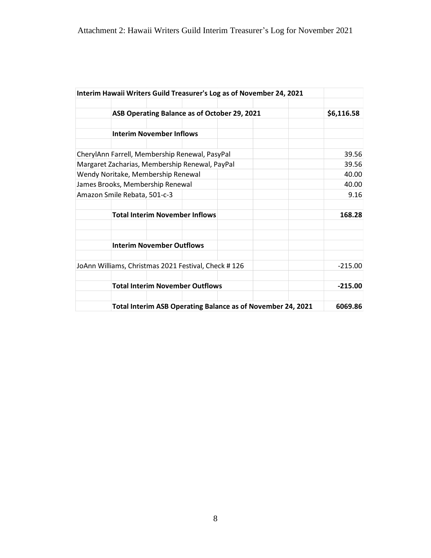|                                    | Interim Hawaii Writers Guild Treasurer's Log as of November 24, 2021 |            |
|------------------------------------|----------------------------------------------------------------------|------------|
|                                    |                                                                      |            |
|                                    | ASB Operating Balance as of October 29, 2021                         | \$6,116.58 |
|                                    |                                                                      |            |
|                                    | <b>Interim November Inflows</b>                                      |            |
|                                    | CherylAnn Farrell, Membership Renewal, PasyPal                       | 39.56      |
|                                    | Margaret Zacharias, Membership Renewal, PayPal                       | 39.56      |
| Wendy Noritake, Membership Renewal | 40.00                                                                |            |
| James Brooks, Membership Renewal   | 40.00                                                                |            |
|                                    | Amazon Smile Rebata, 501-c-3                                         |            |
|                                    | <b>Total Interim November Inflows</b>                                | 168.28     |
|                                    |                                                                      |            |
|                                    | <b>Interim November Outflows</b>                                     |            |
|                                    | JoAnn Williams, Christmas 2021 Festival, Check #126                  | $-215.00$  |
|                                    | <b>Total Interim November Outflows</b>                               | $-215.00$  |
|                                    | Total Interim ASB Operating Balance as of November 24, 2021          | 6069.86    |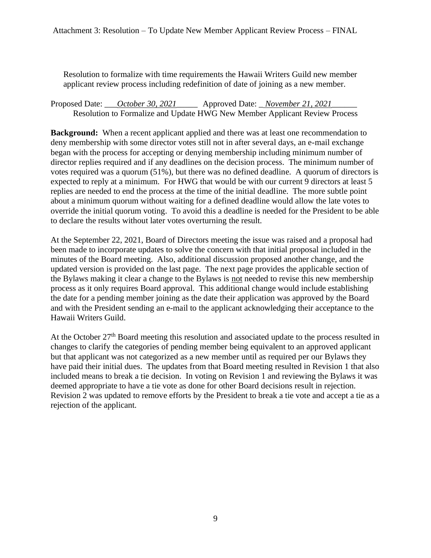Resolution to formalize with time requirements the Hawaii Writers Guild new member applicant review process including redefinition of date of joining as a new member.

Proposed Date: \_\_\_*October 30, 2021*\_\_\_\_\_ Approved Date: \_ *November 21, 2021*\_\_\_\_\_\_ Resolution to Formalize and Update HWG New Member Applicant Review Process

**Background:** When a recent applicant applied and there was at least one recommendation to deny membership with some director votes still not in after several days, an e-mail exchange began with the process for accepting or denying membership including minimum number of director replies required and if any deadlines on the decision process. The minimum number of votes required was a quorum (51%), but there was no defined deadline. A quorum of directors is expected to reply at a minimum. For HWG that would be with our current 9 directors at least 5 replies are needed to end the process at the time of the initial deadline. The more subtle point about a minimum quorum without waiting for a defined deadline would allow the late votes to override the initial quorum voting. To avoid this a deadline is needed for the President to be able to declare the results without later votes overturning the result.

At the September 22, 2021, Board of Directors meeting the issue was raised and a proposal had been made to incorporate updates to solve the concern with that initial proposal included in the minutes of the Board meeting. Also, additional discussion proposed another change, and the updated version is provided on the last page. The next page provides the applicable section of the Bylaws making it clear a change to the Bylaws is not needed to revise this new membership process as it only requires Board approval. This additional change would include establishing the date for a pending member joining as the date their application was approved by the Board and with the President sending an e-mail to the applicant acknowledging their acceptance to the Hawaii Writers Guild.

At the October  $27<sup>th</sup>$  Board meeting this resolution and associated update to the process resulted in changes to clarify the categories of pending member being equivalent to an approved applicant but that applicant was not categorized as a new member until as required per our Bylaws they have paid their initial dues. The updates from that Board meeting resulted in Revision 1 that also included means to break a tie decision. In voting on Revision 1 and reviewing the Bylaws it was deemed appropriate to have a tie vote as done for other Board decisions result in rejection. Revision 2 was updated to remove efforts by the President to break a tie vote and accept a tie as a rejection of the applicant.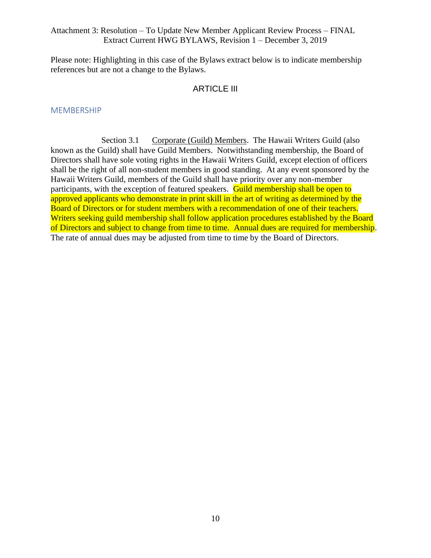#### Attachment 3: Resolution – To Update New Member Applicant Review Process – FINAL Extract Current HWG BYLAWS, Revision 1 – December 3, 2019

Please note: Highlighting in this case of the Bylaws extract below is to indicate membership references but are not a change to the Bylaws.

### ARTICLE III

#### MEMBERSHIP

Section 3.1 Corporate (Guild) Members. The Hawaii Writers Guild (also known as the Guild) shall have Guild Members. Notwithstanding membership, the Board of Directors shall have sole voting rights in the Hawaii Writers Guild, except election of officers shall be the right of all non-student members in good standing. At any event sponsored by the Hawaii Writers Guild, members of the Guild shall have priority over any non-member participants, with the exception of featured speakers. Guild membership shall be open to approved applicants who demonstrate in print skill in the art of writing as determined by the Board of Directors or for student members with a recommendation of one of their teachers. Writers seeking guild membership shall follow application procedures established by the Board of Directors and subject to change from time to time. Annual dues are required for membership. The rate of annual dues may be adjusted from time to time by the Board of Directors.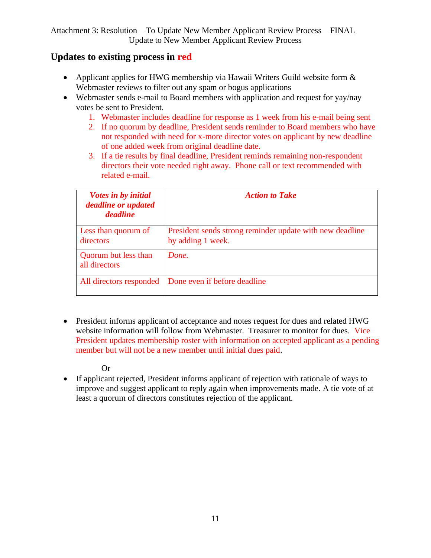# **Updates to existing process in red**

- Applicant applies for HWG membership via Hawaii Writers Guild website form  $\&$ Webmaster reviews to filter out any spam or bogus applications
- Webmaster sends e-mail to Board members with application and request for yay/nay votes be sent to President.
	- 1. Webmaster includes deadline for response as 1 week from his e-mail being sent
	- 2. If no quorum by deadline, President sends reminder to Board members who have not responded with need for x-more director votes on applicant by new deadline of one added week from original deadline date.
	- 3. If a tie results by final deadline, President reminds remaining non-respondent directors their vote needed right away. Phone call or text recommended with related e-mail.

| <i>Votes in by initial</i><br>deadline or updated<br><i>deadline</i> | <b>Action to Take</b>                                                         |
|----------------------------------------------------------------------|-------------------------------------------------------------------------------|
| Less than quorum of<br>directors                                     | President sends strong reminder update with new deadline<br>by adding 1 week. |
| Quorum but less than<br>all directors                                | Done.                                                                         |
| All directors responded                                              | Done even if before deadline                                                  |

• President informs applicant of acceptance and notes request for dues and related HWG website information will follow from Webmaster. Treasurer to monitor for dues. Vice President updates membership roster with information on accepted applicant as a pending member but will not be a new member until initial dues paid.

# Or

• If applicant rejected, President informs applicant of rejection with rationale of ways to improve and suggest applicant to reply again when improvements made. A tie vote of at least a quorum of directors constitutes rejection of the applicant.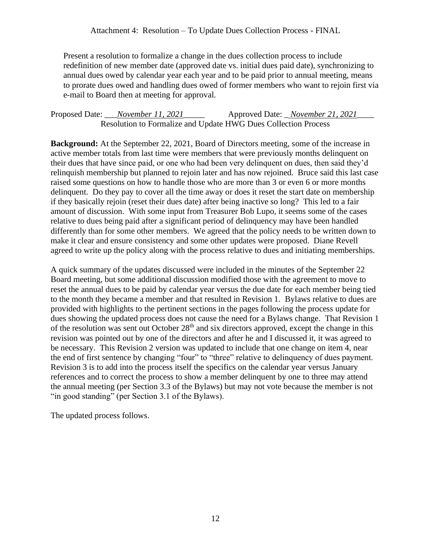Present a resolution to formalize a change in the dues collection process to include redefinition of new member date (approved date vs. initial dues paid date), synchronizing to annual dues owed by calendar year each year and to be paid prior to annual meeting, means to prorate dues owed and handling dues owed of former members who want to rejoin first via e-mail to Board then at meeting for approval.

```
Proposed Date: ___November 11, 2021_____ Approved Date: _ November 21, 2021____
Resolution to Formalize and Update HWG Dues Collection Process
```
**Background:** At the September 22, 2021, Board of Directors meeting, some of the increase in active member totals from last time were members that were previously months delinquent on their dues that have since paid, or one who had been very delinquent on dues, then said they'd relinquish membership but planned to rejoin later and has now rejoined. Bruce said this last case raised some questions on how to handle those who are more than 3 or even 6 or more months delinquent. Do they pay to cover all the time away or does it reset the start date on membership if they basically rejoin (reset their dues date) after being inactive so long? This led to a fair amount of discussion. With some input from Treasurer Bob Lupo, it seems some of the cases relative to dues being paid after a significant period of delinquency may have been handled differently than for some other members. We agreed that the policy needs to be written down to make it clear and ensure consistency and some other updates were proposed. Diane Revell agreed to write up the policy along with the process relative to dues and initiating memberships.

A quick summary of the updates discussed were included in the minutes of the September 22 Board meeting, but some additional discussion modified those with the agreement to move to reset the annual dues to be paid by calendar year versus the due date for each member being tied to the month they became a member and that resulted in Revision 1. Bylaws relative to dues are provided with highlights to the pertinent sections in the pages following the process update for dues showing the updated process does not cause the need for a Bylaws change. That Revision 1 of the resolution was sent out October 28<sup>th</sup> and six directors approved, except the change in this revision was pointed out by one of the directors and after he and I discussed it, it was agreed to be necessary. This Revision 2 version was updated to include that one change on item 4, near the end of first sentence by changing "four" to "three" relative to delinquency of dues payment. Revision 3 is to add into the process itself the specifics on the calendar year versus January references and to correct the process to show a member delinquent by one to three may attend the annual meeting (per Section 3.3 of the Bylaws) but may not vote because the member is not "in good standing" (per Section 3.1 of the Bylaws).

The updated process follows.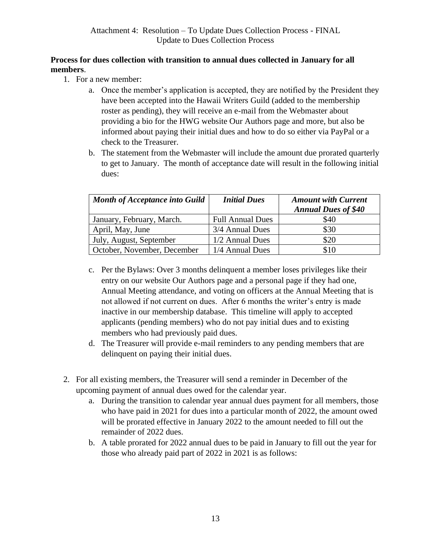# **Process for dues collection with transition to annual dues collected in January for all members**.

- 1. For a new member:
	- a. Once the member's application is accepted, they are notified by the President they have been accepted into the Hawaii Writers Guild (added to the membership roster as pending), they will receive an e-mail from the Webmaster about providing a bio for the HWG website Our Authors page and more, but also be informed about paying their initial dues and how to do so either via PayPal or a check to the Treasurer.
	- b. The statement from the Webmaster will include the amount due prorated quarterly to get to January. The month of acceptance date will result in the following initial dues:

| <b>Month of Acceptance into Guild</b> | <b>Initial Dues</b>     | <b>Amount with Current</b><br><b>Annual Dues of \$40</b> |
|---------------------------------------|-------------------------|----------------------------------------------------------|
| January, February, March.             | <b>Full Annual Dues</b> | \$40                                                     |
| April, May, June                      | 3/4 Annual Dues         | \$30                                                     |
| July, August, September               | 1/2 Annual Dues         | \$20                                                     |
| October, November, December           | 1/4 Annual Dues         | \$10                                                     |

- c. Per the Bylaws: Over 3 months delinquent a member loses privileges like their entry on our website Our Authors page and a personal page if they had one, Annual Meeting attendance, and voting on officers at the Annual Meeting that is not allowed if not current on dues. After 6 months the writer's entry is made inactive in our membership database. This timeline will apply to accepted applicants (pending members) who do not pay initial dues and to existing members who had previously paid dues.
- d. The Treasurer will provide e-mail reminders to any pending members that are delinquent on paying their initial dues.
- 2. For all existing members, the Treasurer will send a reminder in December of the upcoming payment of annual dues owed for the calendar year.
	- a. During the transition to calendar year annual dues payment for all members, those who have paid in 2021 for dues into a particular month of 2022, the amount owed will be prorated effective in January 2022 to the amount needed to fill out the remainder of 2022 dues.
	- b. A table prorated for 2022 annual dues to be paid in January to fill out the year for those who already paid part of 2022 in 2021 is as follows: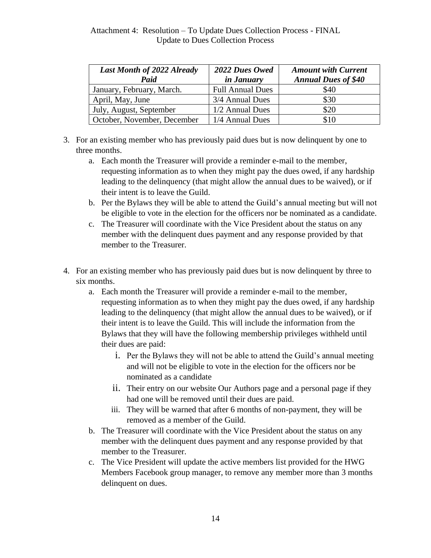| Last Month of 2022 Already<br>Paid | 2022 Dues Owed<br><i>in January</i> | <b>Amount with Current</b><br><b>Annual Dues of \$40</b> |
|------------------------------------|-------------------------------------|----------------------------------------------------------|
| January, February, March.          | <b>Full Annual Dues</b>             | \$40                                                     |
| April, May, June                   | 3/4 Annual Dues                     | \$30                                                     |
| July, August, September            | 1/2 Annual Dues                     | \$20                                                     |
| October, November, December        | 1/4 Annual Dues                     | \$10                                                     |

- 3. For an existing member who has previously paid dues but is now delinquent by one to three months.
	- a. Each month the Treasurer will provide a reminder e-mail to the member, requesting information as to when they might pay the dues owed, if any hardship leading to the delinquency (that might allow the annual dues to be waived), or if their intent is to leave the Guild.
	- b. Per the Bylaws they will be able to attend the Guild's annual meeting but will not be eligible to vote in the election for the officers nor be nominated as a candidate.
	- c. The Treasurer will coordinate with the Vice President about the status on any member with the delinquent dues payment and any response provided by that member to the Treasurer.
- 4. For an existing member who has previously paid dues but is now delinquent by three to six months.
	- a. Each month the Treasurer will provide a reminder e-mail to the member, requesting information as to when they might pay the dues owed, if any hardship leading to the delinquency (that might allow the annual dues to be waived), or if their intent is to leave the Guild. This will include the information from the Bylaws that they will have the following membership privileges withheld until their dues are paid:
		- i. Per the Bylaws they will not be able to attend the Guild's annual meeting and will not be eligible to vote in the election for the officers nor be nominated as a candidate
		- ii. Their entry on our website Our Authors page and a personal page if they had one will be removed until their dues are paid.
		- iii. They will be warned that after 6 months of non-payment, they will be removed as a member of the Guild.
	- b. The Treasurer will coordinate with the Vice President about the status on any member with the delinquent dues payment and any response provided by that member to the Treasurer.
	- c. The Vice President will update the active members list provided for the HWG Members Facebook group manager, to remove any member more than 3 months delinquent on dues.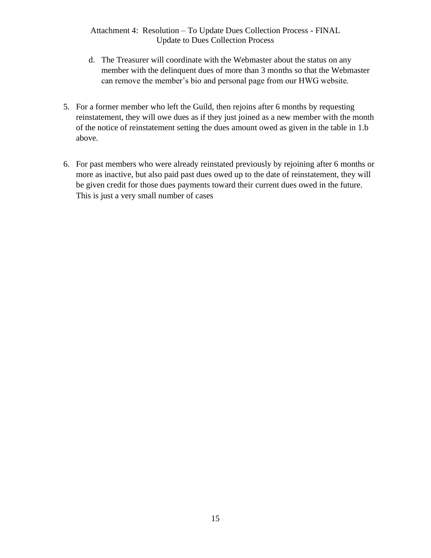# Attachment 4: Resolution – To Update Dues Collection Process - FINAL Update to Dues Collection Process

- d. The Treasurer will coordinate with the Webmaster about the status on any member with the delinquent dues of more than 3 months so that the Webmaster can remove the member's bio and personal page from our HWG website.
- 5. For a former member who left the Guild, then rejoins after 6 months by requesting reinstatement, they will owe dues as if they just joined as a new member with the month of the notice of reinstatement setting the dues amount owed as given in the table in 1.b above.
- 6. For past members who were already reinstated previously by rejoining after 6 months or more as inactive, but also paid past dues owed up to the date of reinstatement, they will be given credit for those dues payments toward their current dues owed in the future. This is just a very small number of cases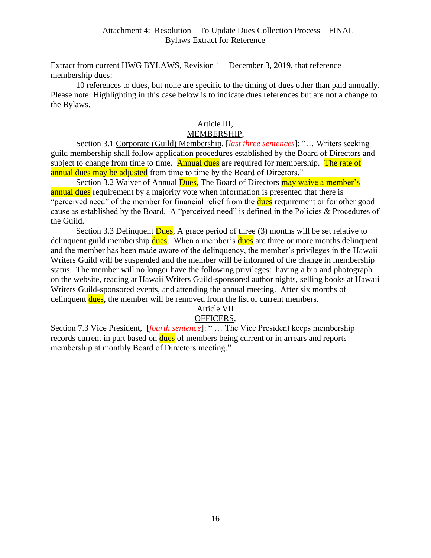Extract from current HWG BYLAWS, Revision 1 – December 3, 2019, that reference membership dues:

10 references to dues, but none are specific to the timing of dues other than paid annually. Please note: Highlighting in this case below is to indicate dues references but are not a change to the Bylaws.

# Article III,

# MEMBERSHIP,

Section 3.1 Corporate (Guild) Membership, [*last three sentences*]: "… Writers seeking guild membership shall follow application procedures established by the Board of Directors and subject to change from time to time. Annual dues are required for membership. The rate of annual dues may be adjusted from time to time by the Board of Directors."

Section 3.2 Waiver of Annual Dues, The Board of Directors may waive a member's annual dues requirement by a majority vote when information is presented that there is "perceived need" of the member for financial relief from the **dues** requirement or for other good cause as established by the Board. A "perceived need" is defined in the Policies & Procedures of the Guild.

Section 3.3 Delinquent Dues, A grace period of three (3) months will be set relative to delinquent guild membership dues. When a member's dues are three or more months delinquent and the member has been made aware of the delinquency, the member's privileges in the Hawaii Writers Guild will be suspended and the member will be informed of the change in membership status. The member will no longer have the following privileges: having a bio and photograph on the website, reading at Hawaii Writers Guild-sponsored author nights, selling books at Hawaii Writers Guild-sponsored events, and attending the annual meeting. After six months of delinquent dues, the member will be removed from the list of current members.

#### Article VII

# OFFICERS,

Section 7.3 Vice President, [*fourth sentence*]: " … The Vice President keeps membership records current in part based on dues of members being current or in arrears and reports membership at monthly Board of Directors meeting."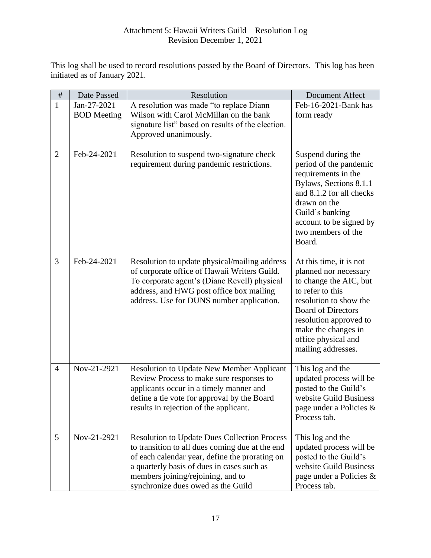# Attachment 5: Hawaii Writers Guild – Resolution Log Revision December 1, 2021

This log shall be used to record resolutions passed by the Board of Directors. This log has been initiated as of January 2021.

| $\#$           | Date Passed                       | Resolution                                                                                                                                                                                                                                                                        | Document Affect                                                                                                                                                                                                                                     |
|----------------|-----------------------------------|-----------------------------------------------------------------------------------------------------------------------------------------------------------------------------------------------------------------------------------------------------------------------------------|-----------------------------------------------------------------------------------------------------------------------------------------------------------------------------------------------------------------------------------------------------|
| $\mathbf{1}$   | Jan-27-2021<br><b>BOD</b> Meeting | A resolution was made "to replace Diann<br>Wilson with Carol McMillan on the bank<br>signature list" based on results of the election.<br>Approved unanimously.                                                                                                                   | Feb-16-2021-Bank has<br>form ready                                                                                                                                                                                                                  |
| $\overline{2}$ | Feb-24-2021                       | Resolution to suspend two-signature check<br>requirement during pandemic restrictions.                                                                                                                                                                                            | Suspend during the<br>period of the pandemic<br>requirements in the<br>Bylaws, Sections 8.1.1<br>and 8.1.2 for all checks<br>drawn on the<br>Guild's banking<br>account to be signed by<br>two members of the<br>Board.                             |
| 3              | Feb-24-2021                       | Resolution to update physical/mailing address<br>of corporate office of Hawaii Writers Guild.<br>To corporate agent's (Diane Revell) physical<br>address, and HWG post office box mailing<br>address. Use for DUNS number application.                                            | At this time, it is not<br>planned nor necessary<br>to change the AIC, but<br>to refer to this<br>resolution to show the<br><b>Board of Directors</b><br>resolution approved to<br>make the changes in<br>office physical and<br>mailing addresses. |
| $\overline{4}$ | Nov-21-2921                       | Resolution to Update New Member Applicant<br>Review Process to make sure responses to<br>applicants occur in a timely manner and<br>define a tie vote for approval by the Board<br>results in rejection of the applicant.                                                         | This log and the<br>updated process will be<br>posted to the Guild's<br>website Guild Business<br>page under a Policies &<br>Process tab.                                                                                                           |
| 5              | Nov-21-2921                       | <b>Resolution to Update Dues Collection Process</b><br>to transition to all dues coming due at the end<br>of each calendar year, define the prorating on<br>a quarterly basis of dues in cases such as<br>members joining/rejoining, and to<br>synchronize dues owed as the Guild | This log and the<br>updated process will be<br>posted to the Guild's<br>website Guild Business<br>page under a Policies &<br>Process tab.                                                                                                           |